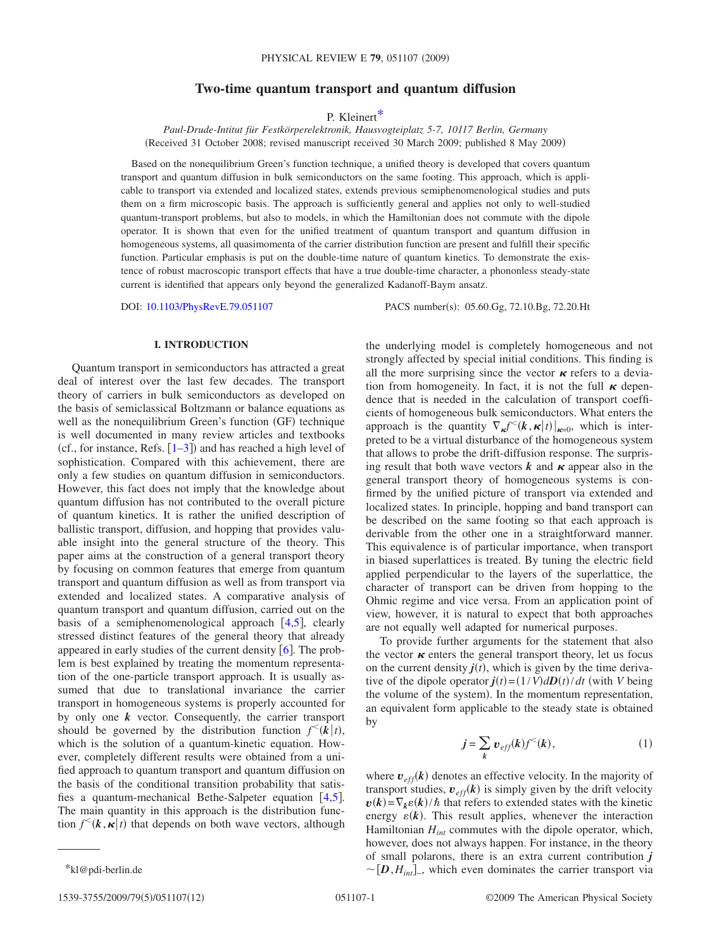# **Two-time quantum transport and quantum diffusion**

P. Kleiner[t\\*](#page-0-0)

*Paul-Drude-Intitut für Festkörperelektronik, Hausvogteiplatz 5-7, 10117 Berlin, Germany* (Received 31 October 2008; revised manuscript received 30 March 2009; published 8 May 2009)

Based on the nonequilibrium Green's function technique, a unified theory is developed that covers quantum transport and quantum diffusion in bulk semiconductors on the same footing. This approach, which is applicable to transport via extended and localized states, extends previous semiphenomenological studies and puts them on a firm microscopic basis. The approach is sufficiently general and applies not only to well-studied quantum-transport problems, but also to models, in which the Hamiltonian does not commute with the dipole operator. It is shown that even for the unified treatment of quantum transport and quantum diffusion in homogeneous systems, all quasimomenta of the carrier distribution function are present and fulfill their specific function. Particular emphasis is put on the double-time nature of quantum kinetics. To demonstrate the existence of robust macroscopic transport effects that have a true double-time character, a phononless steady-state current is identified that appears only beyond the generalized Kadanoff-Baym ansatz.

DOI: [10.1103/PhysRevE.79.051107](http://dx.doi.org/10.1103/PhysRevE.79.051107)

PACS number(s): 05.60.Gg, 72.10.Bg, 72.20.Ht

the underlying model is completely homogeneous and not

## **I. INTRODUCTION**

Quantum transport in semiconductors has attracted a great deal of interest over the last few decades. The transport theory of carriers in bulk semiconductors as developed on the basis of semiclassical Boltzmann or balance equations as well as the nonequilibrium Green's function (GF) technique is well documented in many review articles and textbooks (cf., for instance, Refs.  $[1-3]$  $[1-3]$  $[1-3]$ ) and has reached a high level of sophistication. Compared with this achievement, there are only a few studies on quantum diffusion in semiconductors. However, this fact does not imply that the knowledge about quantum diffusion has not contributed to the overall picture of quantum kinetics. It is rather the unified description of ballistic transport, diffusion, and hopping that provides valuable insight into the general structure of the theory. This paper aims at the construction of a general transport theory by focusing on common features that emerge from quantum transport and quantum diffusion as well as from transport via extended and localized states. A comparative analysis of quantum transport and quantum diffusion, carried out on the basis of a semiphenomenological approach  $[4,5]$  $[4,5]$  $[4,5]$  $[4,5]$ , clearly stressed distinct features of the general theory that already appeared in early studies of the current density  $\lceil 6 \rceil$  $\lceil 6 \rceil$  $\lceil 6 \rceil$ . The problem is best explained by treating the momentum representation of the one-particle transport approach. It is usually assumed that due to translational invariance the carrier transport in homogeneous systems is properly accounted for by only one *k* vector. Consequently, the carrier transport should be governed by the distribution function  $f^{\lt}(k|t)$ , which is the solution of a quantum-kinetic equation. However, completely different results were obtained from a unified approach to quantum transport and quantum diffusion on the basis of the conditional transition probability that satisfies a quantum-mechanical Bethe-Salpeter equation  $[4,5]$  $[4,5]$  $[4,5]$  $[4,5]$ . The main quantity in this approach is the distribution function  $f^{\leq}(k, \kappa | t)$  that depends on both wave vectors, although

strongly affected by special initial conditions. This finding is all the more surprising since the vector  $\kappa$  refers to a deviation from homogeneity. In fact, it is not the full  $\kappa$  dependence that is needed in the calculation of transport coefficients of homogeneous bulk semiconductors. What enters the approach is the quantity  $\nabla_{\kappa} f^{(k)}(k, \kappa | t)|_{\kappa=0}$ , which is interpreted to be a virtual disturbance of the homogeneous system that allows to probe the drift-diffusion response. The surprising result that both wave vectors  $k$  and  $\kappa$  appear also in the general transport theory of homogeneous systems is confirmed by the unified picture of transport via extended and localized states. In principle, hopping and band transport can be described on the same footing so that each approach is derivable from the other one in a straightforward manner. This equivalence is of particular importance, when transport in biased superlattices is treated. By tuning the electric field applied perpendicular to the layers of the superlattice, the character of transport can be driven from hopping to the Ohmic regime and vice versa. From an application point of view, however, it is natural to expect that both approaches are not equally well adapted for numerical purposes.

To provide further arguments for the statement that also the vector  $\kappa$  enters the general transport theory, let us focus on the current density  $j(t)$ , which is given by the time derivative of the dipole operator  $\vec{J}(t) = (1/V) dD(t)/dt$  (with *V* being the volume of the system). In the momentum representation, an equivalent form applicable to the steady state is obtained by

$$
\mathbf{j} = \sum_{k} \mathbf{v}_{\text{eff}}(k) f^{<}(k), \tag{1}
$$

where  $v_{\text{eff}}(k)$  denotes an effective velocity. In the majority of transport studies,  $v_{\text{eff}}(k)$  is simply given by the drift velocity  $v(k) = \nabla_k \varepsilon(k) / \hbar$  that refers to extended states with the kinetic energy  $\varepsilon(k)$ . This result applies, whenever the interaction Hamiltonian *Hint* commutes with the dipole operator, which, however, does not always happen. For instance, in the theory of small polarons, there is an extra current contribution *j* \*kl@pdi-berlin.de  $\sim [D, H_{int}]$ , which even dominates the carrier transport via

<span id="page-0-0"></span>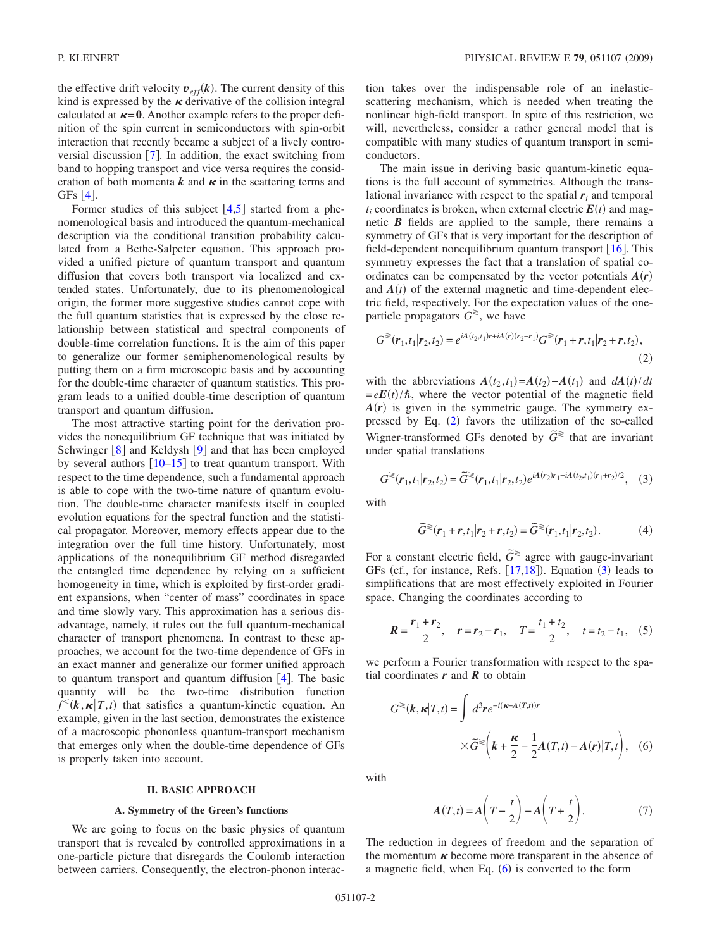the effective drift velocity  $v_{\text{eff}}(k)$ . The current density of this kind is expressed by the  $\kappa$  derivative of the collision integral calculated at  $\kappa$ =0. Another example refers to the proper definition of the spin current in semiconductors with spin-orbit interaction that recently became a subject of a lively controversial discussion  $\lceil 7 \rceil$  $\lceil 7 \rceil$  $\lceil 7 \rceil$ . In addition, the exact switching from band to hopping transport and vice versa requires the consideration of both momenta  $k$  and  $\kappa$  in the scattering terms and GFs  $[4]$  $[4]$  $[4]$ .

Former studies of this subject  $\lceil 4, 5 \rceil$  $\lceil 4, 5 \rceil$  $\lceil 4, 5 \rceil$  $\lceil 4, 5 \rceil$  $\lceil 4, 5 \rceil$  started from a phenomenological basis and introduced the quantum-mechanical description via the conditional transition probability calculated from a Bethe-Salpeter equation. This approach provided a unified picture of quantum transport and quantum diffusion that covers both transport via localized and extended states. Unfortunately, due to its phenomenological origin, the former more suggestive studies cannot cope with the full quantum statistics that is expressed by the close relationship between statistical and spectral components of double-time correlation functions. It is the aim of this paper to generalize our former semiphenomenological results by putting them on a firm microscopic basis and by accounting for the double-time character of quantum statistics. This program leads to a unified double-time description of quantum transport and quantum diffusion.

The most attractive starting point for the derivation provides the nonequilibrium GF technique that was initiated by Schwinger  $\lceil 8 \rceil$  $\lceil 8 \rceil$  $\lceil 8 \rceil$  and Keldysh  $\lceil 9 \rceil$  $\lceil 9 \rceil$  $\lceil 9 \rceil$  and that has been employed by several authors  $\left[10-15\right]$  $\left[10-15\right]$  $\left[10-15\right]$  to treat quantum transport. With respect to the time dependence, such a fundamental approach is able to cope with the two-time nature of quantum evolution. The double-time character manifests itself in coupled evolution equations for the spectral function and the statistical propagator. Moreover, memory effects appear due to the integration over the full time history. Unfortunately, most applications of the nonequilibrium GF method disregarded the entangled time dependence by relying on a sufficient homogeneity in time, which is exploited by first-order gradient expansions, when "center of mass" coordinates in space and time slowly vary. This approximation has a serious disadvantage, namely, it rules out the full quantum-mechanical character of transport phenomena. In contrast to these approaches, we account for the two-time dependence of GFs in an exact manner and generalize our former unified approach to quantum transport and quantum diffusion  $[4]$  $[4]$  $[4]$ . The basic quantity will be the two-time distribution function  $f^{\leq}(k, \kappa | T, t)$  that satisfies a quantum-kinetic equation. An example, given in the last section, demonstrates the existence of a macroscopic phononless quantum-transport mechanism that emerges only when the double-time dependence of GFs is properly taken into account.

#### **II. BASIC APPROACH**

### **A. Symmetry of the Green's functions**

We are going to focus on the basic physics of quantum transport that is revealed by controlled approximations in a one-particle picture that disregards the Coulomb interaction between carriers. Consequently, the electron-phonon interaction takes over the indispensable role of an inelasticscattering mechanism, which is needed when treating the nonlinear high-field transport. In spite of this restriction, we will, nevertheless, consider a rather general model that is compatible with many studies of quantum transport in semiconductors.

The main issue in deriving basic quantum-kinetic equations is the full account of symmetries. Although the translational invariance with respect to the spatial  $r_i$  and temporal  $t_i$  coordinates is broken, when external electric  $E(t)$  and magnetic *B* fields are applied to the sample, there remains a symmetry of GFs that is very important for the description of field-dependent nonequilibrium quantum transport  $[16]$  $[16]$  $[16]$ . This symmetry expresses the fact that a translation of spatial coordinates can be compensated by the vector potentials  $A(r)$ and  $A(t)$  of the external magnetic and time-dependent electric field, respectively. For the expectation values of the oneparticle propagators  $G^{\geq}$ , we have

<span id="page-1-0"></span>
$$
G^{\geq}(r_1,t_1|r_2,t_2) = e^{iA(t_2,t_1)r + iA(r)(r_2-r_1)}G^{\geq}(r_1+r,t_1|r_2+r,t_2),
$$
\n(2)

with the abbreviations  $A(t_2, t_1) = A(t_2) - A(t_1)$  and  $dA(t)/dt$  $= eE(t)/\hbar$ , where the vector potential of the magnetic field  $A(r)$  is given in the symmetric gauge. The symmetry expressed by Eq.  $(2)$  $(2)$  $(2)$  favors the utilization of the so-called Wigner-transformed GFs denoted by  $\tilde{G}^{\geq}$  that are invariant under spatial translations

$$
G^{\geq}(r_1, t_1 | r_2, t_2) = \widetilde{G}^{\geq}(r_1, t_1 | r_2, t_2) e^{iA(r_2)r_1 - iA(t_2, t_1)(r_1 + r_2)/2}, \quad (3)
$$

<span id="page-1-1"></span>with

$$
\widetilde{G}^{\geq}(r_1+r,t_1|r_2+r,t_2) = \widetilde{G}^{\geq}(r_1,t_1|r_2,t_2).
$$
 (4)

For a constant electric field,  $\tilde{G}^{\geq}$  agree with gauge-invariant GFs (cf., for instance, Refs.  $[17,18]$  $[17,18]$  $[17,18]$  $[17,18]$ ). Equation ([3](#page-1-1)) leads to simplifications that are most effectively exploited in Fourier space. Changing the coordinates according to

$$
R = \frac{r_1 + r_2}{2}, \quad r = r_2 - r_1, \quad T = \frac{t_1 + t_2}{2}, \quad t = t_2 - t_1,
$$
 (5)

we perform a Fourier transformation with respect to the spatial coordinates  $r$  and  $\overline{R}$  to obtain

<span id="page-1-2"></span>
$$
G^{\geq}(k, \kappa | T, t) = \int d^3 r e^{-i(\kappa - A(T, t))r}
$$

$$
\times \widetilde{G}^{\geq}(k + \frac{\kappa}{2} - \frac{1}{2}A(T, t) - A(r)|T, t), \quad (6)
$$

with

$$
A(T,t) = A\left(T - \frac{t}{2}\right) - A\left(T + \frac{t}{2}\right). \tag{7}
$$

The reduction in degrees of freedom and the separation of the momentum  $\kappa$  become more transparent in the absence of a magnetic field, when Eq.  $(6)$  $(6)$  $(6)$  is converted to the form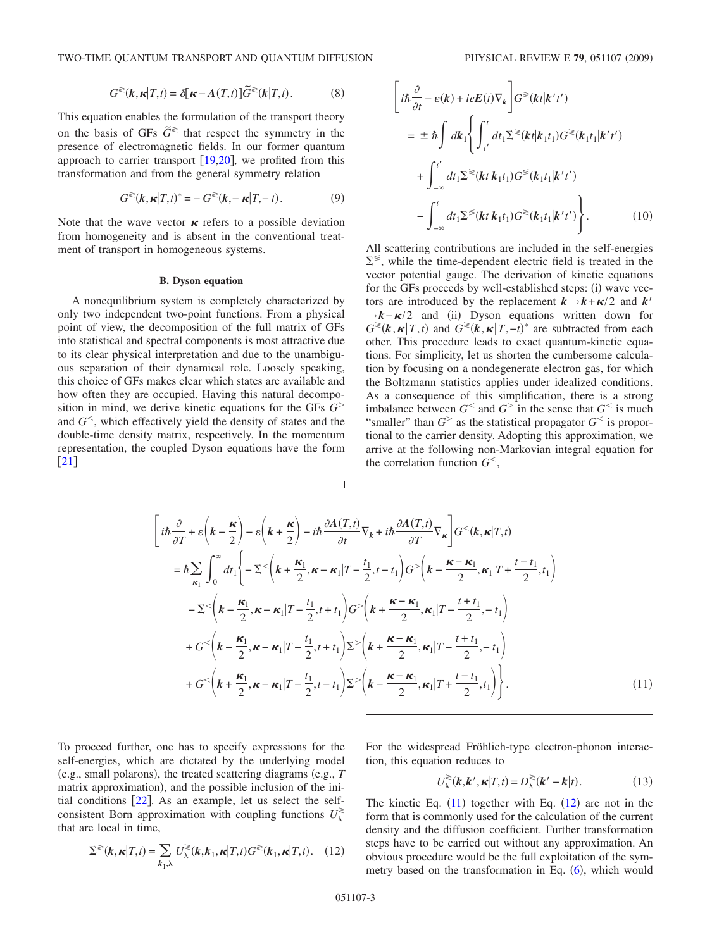$$
G^{\geqslant}(k,\kappa|T,t) = \delta[\kappa - A(T,t)]\widetilde{G}^{\geqslant}(k|T,t). \tag{8}
$$

<span id="page-2-0"></span>This equation enables the formulation of the transport theory on the basis of GFs  $\tilde{G}^{\gtrless}$  that respect the symmetry in the presence of electromagnetic fields. In our former quantum approach to carrier transport  $[19,20]$  $[19,20]$  $[19,20]$  $[19,20]$ , we profited from this transformation and from the general symmetry relation

$$
G^{\geqslant}(\mathbf{k}, \mathbf{\kappa}|T, t)^* = -G^{\geqslant}(\mathbf{k}, -\mathbf{\kappa}|T, -t). \tag{9}
$$

Note that the wave vector  $\kappa$  refers to a possible deviation from homogeneity and is absent in the conventional treatment of transport in homogeneous systems.

#### **B. Dyson equation**

A nonequilibrium system is completely characterized by only two independent two-point functions. From a physical point of view, the decomposition of the full matrix of GFs into statistical and spectral components is most attractive due to its clear physical interpretation and due to the unambiguous separation of their dynamical role. Loosely speaking, this choice of GFs makes clear which states are available and how often they are occupied. Having this natural decomposition in mind, we derive kinetic equations for the GFs *G* and  $G<sup>0</sup>$ , which effectively yield the density of states and the double-time density matrix, respectively. In the momentum representation, the coupled Dyson equations have the form  $\lceil 21 \rceil$  $\lceil 21 \rceil$  $\lceil 21 \rceil$ 

$$
\begin{aligned}\n\left[i\hbar\frac{\partial}{\partial t} - \varepsilon(\mathbf{k}) + ieE(t)\nabla_{\mathbf{k}}\right] G^{\geq}(\mathbf{k}t|\mathbf{k}'t') \\
= & \pm \hbar \int d\mathbf{k}_{1} \Biggl\{ \int_{t'}^{t} dt_{1} \Sigma^{\geq}(\mathbf{k}t|\mathbf{k}_{1}t_{1}) G^{\geq}(\mathbf{k}_{1}t_{1}|\mathbf{k}'t') \\
+ & \int_{-\infty}^{t'} dt_{1} \Sigma^{\geq}(\mathbf{k}t|\mathbf{k}_{1}t_{1}) G^{\leq}(\mathbf{k}_{1}t_{1}|\mathbf{k}'t') \\
- & \int_{-\infty}^{t} dt_{1} \Sigma^{\leq}(\mathbf{k}t|\mathbf{k}_{1}t_{1}) G^{\geq}(\mathbf{k}_{1}t_{1}|\mathbf{k}'t') \Biggr\}.\n\end{aligned} \tag{10}
$$

All scattering contributions are included in the self-energies  $\Sigma^{\leq}$ , while the time-dependent electric field is treated in the vector potential gauge. The derivation of kinetic equations for the GFs proceeds by well-established steps: (i) wave vectors are introduced by the replacement  $k \rightarrow k + \kappa/2$  and  $k'$  $\rightarrow k-\kappa/2$  and (ii) Dyson equations written down for  $G^{\geq}(k, \kappa | T, t)$  and  $G^{\geq}(k, \kappa | T, -t)^*$  are subtracted from each other. This procedure leads to exact quantum-kinetic equations. For simplicity, let us shorten the cumbersome calculation by focusing on a nondegenerate electron gas, for which the Boltzmann statistics applies under idealized conditions. As a consequence of this simplification, there is a strong imbalance between  $G^<$  and  $G^>$  in the sense that  $G^<$  is much "smaller" than  $G^>$  as the statistical propagator  $G^<$  is proportional to the carrier density. Adopting this approximation, we arrive at the following non-Markovian integral equation for the correlation function  $G^<$ ,

$$
\begin{split}\n&\left[i\hbar\frac{\partial}{\partial T} + \varepsilon\left(\mathbf{k} - \frac{\mathbf{\kappa}}{2}\right) - \varepsilon\left(\mathbf{k} + \frac{\mathbf{\kappa}}{2}\right) - i\hbar\frac{\partial A(T,t)}{\partial t}\nabla_{\mathbf{k}} + i\hbar\frac{\partial A(T,t)}{\partial T}\nabla_{\mathbf{\kappa}}\right]G^{<}(k, \mathbf{\kappa}|T,t) \\
&= \hbar\sum_{\kappa_{1}}\int_{0}^{\infty}dt_{1}\bigg\{-\Sigma^{<}\bigg(\mathbf{k} + \frac{\mathbf{\kappa}_{1}}{2}, \mathbf{\kappa} - \mathbf{\kappa}_{1}|T - \frac{t_{1}}{2}, t - t_{1}\bigg)G^{>}\bigg(\mathbf{k} - \frac{\mathbf{\kappa} - \mathbf{\kappa}_{1}}{2}, \mathbf{\kappa}_{1}|T + \frac{t - t_{1}}{2}, t_{1}\bigg) \\
&- \Sigma^{<}\bigg(\mathbf{k} - \frac{\mathbf{\kappa}_{1}}{2}, \mathbf{\kappa} - \mathbf{\kappa}_{1}|T - \frac{t_{1}}{2}, t + t_{1}\bigg)G^{>}\bigg(\mathbf{k} + \frac{\mathbf{\kappa} - \mathbf{\kappa}_{1}}{2}, \mathbf{\kappa}_{1}|T - \frac{t + t_{1}}{2}, - t_{1}\bigg) \\
&+ G^{<}\bigg(\mathbf{k} - \frac{\mathbf{\kappa}_{1}}{2}, \mathbf{\kappa} - \mathbf{\kappa}_{1}|T - \frac{t_{1}}{2}, t + t_{1}\bigg)\Sigma^{>}\bigg(\mathbf{k} + \frac{\mathbf{\kappa} - \mathbf{\kappa}_{1}}{2}, \mathbf{\kappa}_{1}|T - \frac{t + t_{1}}{2}, - t_{1}\bigg) \\
&+ G^{<}\bigg(\mathbf{k} + \frac{\mathbf{\kappa}_{1}}{2}, \mathbf{\kappa} - \mathbf{\kappa}_{1}|T - \frac{t_{1}}{2}, t - t_{1}\bigg)\Sigma^{>}\bigg(\mathbf{k} - \frac{\mathbf{\kappa} - \mathbf{\kappa}_{1}}{2}, \mathbf{\kappa}_{1}|T + \frac{t - t_{1}}{2}, t_{1}\bigg)\bigg\}.\n\end{split} \tag{11}
$$

To proceed further, one has to specify expressions for the self-energies, which are dictated by the underlying model (e.g., small polarons), the treated scattering diagrams (e.g., *T* matrix approximation), and the possible inclusion of the initial conditions  $[22]$  $[22]$  $[22]$ . As an example, let us select the selfconsistent Born approximation with coupling functions  $U_\lambda^{\gtrless}$ that are local in time,

<span id="page-2-1"></span>
$$
\Sigma^{\geqslant}(k,\kappa|T,t) = \sum_{k_1,\lambda} U_{\lambda}^{\geqslant}(k,k_1,\kappa|T,t)G^{\geqslant}(k_1,\kappa|T,t). \quad (12)
$$

For the widespread Fröhlich-type electron-phonon interaction, this equation reduces to

$$
U_{\lambda}^{\geqslant}(k,k',\kappa|T,t)=D_{\lambda}^{\geqslant}(k'-k|t). \qquad (13)
$$

The kinetic Eq.  $(11)$  $(11)$  $(11)$  together with Eq.  $(12)$  $(12)$  $(12)$  are not in the form that is commonly used for the calculation of the current density and the diffusion coefficient. Further transformation steps have to be carried out without any approximation. An obvious procedure would be the full exploitation of the symmetry based on the transformation in Eq.  $(6)$  $(6)$  $(6)$ , which would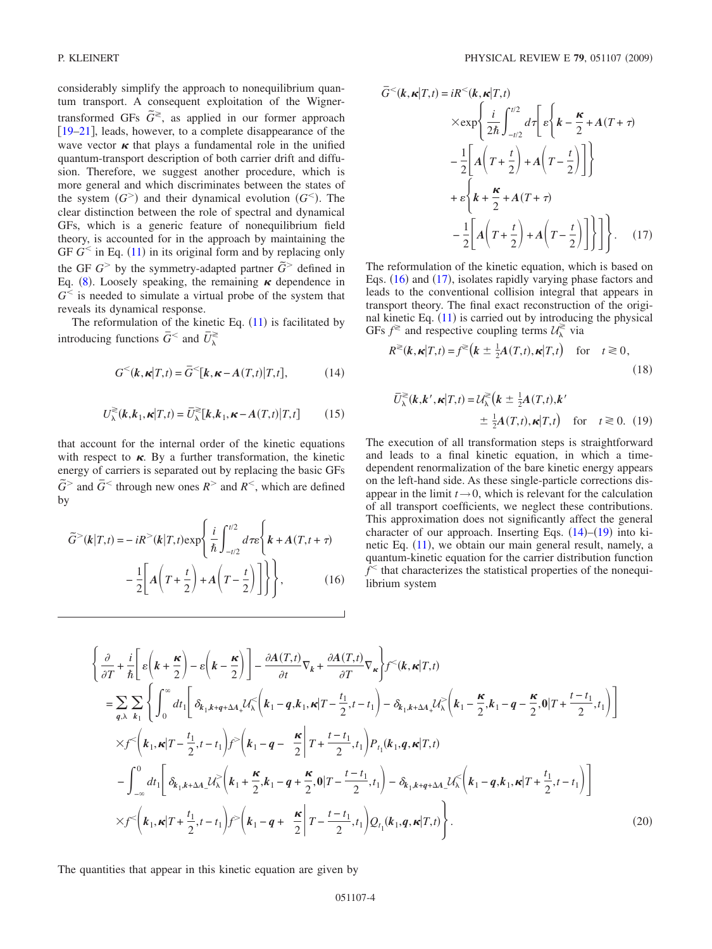considerably simplify the approach to nonequilibrium quantum transport. A consequent exploitation of the Wignertransformed GFs  $\tilde{G}^{\ge}$ , as applied in our former approach [19–](#page-11-13)[21](#page-11-15), leads, however, to a complete disappearance of the wave vector  $\kappa$  that plays a fundamental role in the unified quantum-transport description of both carrier drift and diffusion. Therefore, we suggest another procedure, which is more general and which discriminates between the states of the system  $(G^> )$  and their dynamical evolution  $(G^< )$ . The clear distinction between the role of spectral and dynamical GFs, which is a generic feature of nonequilibrium field theory, is accounted for in the approach by maintaining the GF  $G<sup>th</sup>$  in Eq. ([11](#page-2-0)) in its original form and by replacing only the GF  $G^>$  by the symmetry-adapted partner  $\tilde{G}^>$  defined in Eq. ([8](#page-2-0)). Loosely speaking, the remaining  $\kappa$  dependence in  $G<sup>0</sup>$  is needed to simulate a virtual probe of the system that reveals its dynamical response.

The reformulation of the kinetic Eq.  $(11)$  $(11)$  $(11)$  is facilitated by introducing functions  $\bar{G}^<$  and  $\bar{U}_\lambda^{\geq}$ 

$$
G^{<}(k, \kappa | T, t) = \overline{G}^{<}[k, \kappa - A(T, t) | T, t],
$$
 (14)

<span id="page-3-2"></span>
$$
U_{\lambda}^{\geqslant}(k,k_1,\kappa|T,t)=\overline{U}_{\lambda}^{\geqslant}[k,k_1,\kappa-A(T,t)|T,t] \qquad (15)
$$

that account for the internal order of the kinetic equations with respect to  $\kappa$ . By a further transformation, the kinetic energy of carriers is separated out by replacing the basic GFs  $\tilde{G}$  and  $\bar{G}$  through new ones  $R$  and  $R$ <sup><</sup>, which are defined by

<span id="page-3-0"></span>
$$
\tilde{G}^{>}(\mathbf{k}|T,t) = -iR^{>}(\mathbf{k}|T,t) \exp\left\{\frac{i}{\hbar} \int_{-t/2}^{t/2} d\tau \epsilon \left\{\mathbf{k} + A(T,t+\tau) -\frac{1}{2} \left[A\left(T+\frac{t}{2}\right) + A\left(T-\frac{t}{2}\right)\right]\right\}\right\},\tag{16}
$$

<span id="page-3-1"></span>
$$
\overline{G}^{<}(k, \kappa | T, t) = iR^{<}(k, \kappa | T, t)
$$
  
\n
$$
\times \exp \left\{ \frac{i}{2\hbar} \int_{-t/2}^{t/2} d\tau \left[ \varepsilon \left\{ k - \frac{\kappa}{2} + A(T + \tau) - \frac{1}{2} \left[ A \left( T + \frac{t}{2} \right) + A \left( T - \frac{t}{2} \right) \right] \right\} \right\}
$$
  
\n
$$
+ \varepsilon \left\{ k + \frac{\kappa}{2} + A(T + \tau) - \frac{1}{2} \left[ A \left( T + \frac{t}{2} \right) + A \left( T - \frac{t}{2} \right) \right] \right\} \right\}.
$$
 (17)

The reformulation of the kinetic equation, which is based on Eqs.  $(16)$  $(16)$  $(16)$  and  $(17)$  $(17)$  $(17)$ , isolates rapidly varying phase factors and leads to the conventional collision integral that appears in transport theory. The final exact reconstruction of the origi-nal kinetic Eq. ([11](#page-2-0)) is carried out by introducing the physical GFs  $f^{\geq}$  and respective coupling terms  $\mathcal{U}_{\lambda}^{\geq}$  via

$$
R^{\geqslant}(k,\kappa|T,t) = f^{\geqslant}\left(k \pm \frac{1}{2}A(T,t),\kappa|T,t\right) \quad \text{for} \quad t \geqslant 0,
$$
\n(18)

<span id="page-3-3"></span>
$$
\overline{U}_{\lambda}^{\geq}(k, k', \kappa | T, t) = U_{\lambda}^{\geq}(k \pm \frac{1}{2}A(T, t), k')
$$
  
 
$$
\pm \frac{1}{2}A(T, t), \kappa | T, t \quad \text{for} \quad t \geq 0. \tag{19}
$$

The execution of all transformation steps is straightforward and leads to a final kinetic equation, in which a timedependent renormalization of the bare kinetic energy appears on the left-hand side. As these single-particle corrections disappear in the limit  $t \rightarrow 0$ , which is relevant for the calculation of all transport coefficients, we neglect these contributions. This approximation does not significantly affect the general character of our approach. Inserting Eqs.  $(14)$  $(14)$  $(14)$ – $(19)$  $(19)$  $(19)$  into ki-netic Eq. ([11](#page-2-0)), we obtain our main general result, namely, a quantum-kinetic equation for the carrier distribution function  $f<sup>th</sup>$  that characterizes the statistical properties of the nonequilibrium system

<span id="page-3-4"></span>
$$
\begin{split}\n&\left\{\frac{\partial}{\partial T} + \frac{i}{\hbar} \Bigg[ \varepsilon \Bigg( \mathbf{k} + \frac{\mathbf{\kappa}}{2} \Bigg) - \varepsilon \Bigg( \mathbf{k} - \frac{\mathbf{\kappa}}{2} \Bigg) \Bigg] - \frac{\partial A(T,t)}{\partial t} \nabla_{\mathbf{k}} + \frac{\partial A(T,t)}{\partial T} \nabla_{\mathbf{\kappa}} \Bigg\} f^{\leq}(\mathbf{k}, \mathbf{\kappa} | T, t) \\
&= \sum_{q,\lambda} \sum_{k_1} \Bigg\{ \int_0^{\infty} dt_1 \Bigg[ \delta_{k_1, k+q+\Delta A_+} \mathcal{U}_{\lambda}^{\leq} \Bigg( \mathbf{k}_1 - q, \mathbf{k}_1, \mathbf{\kappa} | T - \frac{t_1}{2}, t - t_1 \Bigg) - \delta_{k_1, k+\Delta A_+} \mathcal{U}_{\lambda}^{\geq} \Bigg( \mathbf{k}_1 - \frac{\mathbf{\kappa}}{2}, \mathbf{k}_1 - q - \frac{\mathbf{\kappa}}{2}, 0 | T + \frac{t - t_1}{2}, t_1 \Bigg) \Bigg] \\
&\times f^{\leq} \Bigg( \mathbf{k}_1, \mathbf{\kappa} | T - \frac{t_1}{2}, t - t_1 \Bigg) f^{\geq} \Bigg( \mathbf{k}_1 - q - \frac{\mathbf{\kappa}}{2} \Bigg[ T + \frac{t - t_1}{2}, t_1 \Bigg) P_{t_1}(\mathbf{k}_1, q, \mathbf{\kappa} | T, t) \\
&- \int_{-\infty}^0 dt_1 \Bigg[ \delta_{k_1, k+\Delta A_-} \mathcal{U}_{\lambda}^{\geq} \Bigg( \mathbf{k}_1 + \frac{\mathbf{\kappa}}{2}, \mathbf{k}_1 - q + \frac{\mathbf{\kappa}}{2}, 0 | T - \frac{t - t_1}{2}, t_1 \Bigg) - \delta_{k_1, k+q+\Delta A_-} \mathcal{U}_{\lambda}^{\leq} \Bigg( \mathbf{k}_1 - q, \mathbf{k}_1, \mathbf{\kappa} | T + \frac{t_1}{2}, t - t_1 \Bigg) \Bigg] \\
&\times f^{\leq} \Bigg( \mathbf{k}_1, \mathbf{\kappa} | T + \frac{t_1}{2}, t - t_1
$$

The quantities that appear in this kinetic equation are given by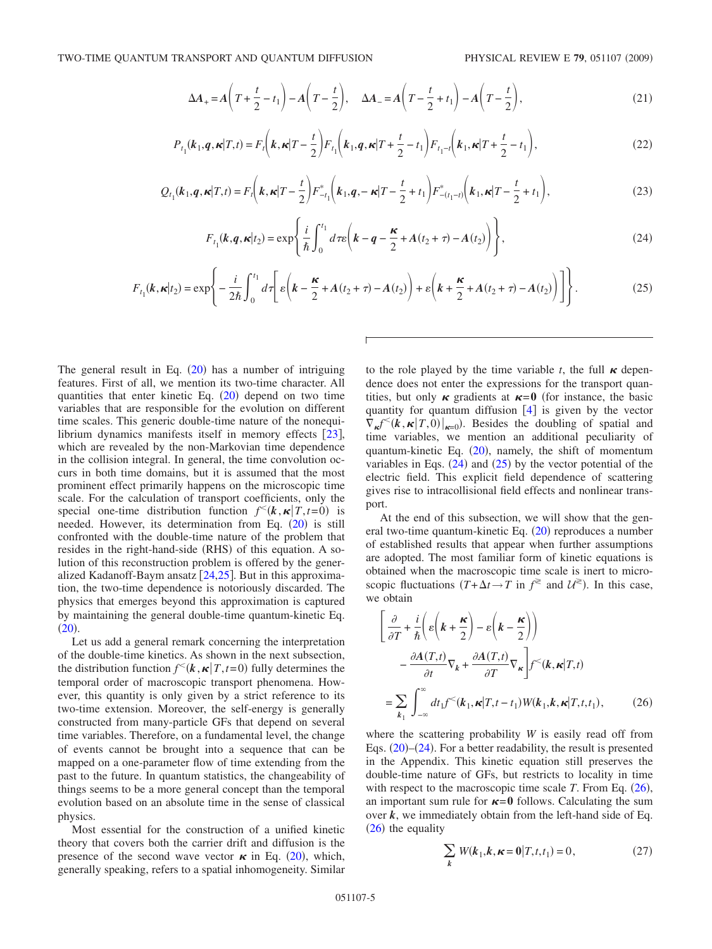$$
\Delta A_+ = A \left( T + \frac{t}{2} - t_1 \right) - A \left( T - \frac{t}{2} \right), \quad \Delta A_- = A \left( T - \frac{t}{2} + t_1 \right) - A \left( T - \frac{t}{2} \right), \tag{21}
$$

$$
P_{t_1}(\boldsymbol{k}_1, \boldsymbol{q}, \boldsymbol{\kappa} | T, t) = F_t\left(\boldsymbol{k}, \boldsymbol{\kappa} | T - \frac{t}{2}\right) F_{t_1}\left(\boldsymbol{k}_1, \boldsymbol{q}, \boldsymbol{\kappa} | T + \frac{t}{2} - t_1\right) F_{t_1 - t}\left(\boldsymbol{k}_1, \boldsymbol{\kappa} | T + \frac{t}{2} - t_1\right),\tag{22}
$$

<span id="page-4-4"></span>
$$
Q_{t_1}(k_1, \mathbf{q}, \mathbf{\kappa} | T, t) = F_t\left(k, \mathbf{\kappa} | T - \frac{t}{2}\right) F_{-t_1}^*\left(k_1, \mathbf{q}, -\mathbf{\kappa} | T - \frac{t}{2} + t_1\right) F_{-(t_1 - t)}^*\left(k_1, \mathbf{\kappa} | T - \frac{t}{2} + t_1\right),\tag{23}
$$

$$
F_{t_1}(k,q,\kappa|t_2) = \exp\left\{\frac{i}{\hbar} \int_0^{t_1} d\tau \varepsilon \left(k - q - \frac{\kappa}{2} + A(t_2 + \tau) - A(t_2)\right)\right\},\tag{24}
$$

<span id="page-4-1"></span><span id="page-4-0"></span>
$$
F_{t_1}(k, \kappa|t_2) = \exp\left\{-\frac{i}{2\hbar} \int_0^{t_1} d\tau \left[\varepsilon \left(k - \frac{\kappa}{2} + A(t_2 + \tau) - A(t_2)\right) + \varepsilon \left(k + \frac{\kappa}{2} + A(t_2 + \tau) - A(t_2)\right)\right]\right\}.
$$
 (25)

The general result in Eq.  $(20)$  $(20)$  $(20)$  has a number of intriguing features. First of all, we mention its two-time character. All quantities that enter kinetic Eq.  $(20)$  $(20)$  $(20)$  depend on two time variables that are responsible for the evolution on different time scales. This generic double-time nature of the nonequilibrium dynamics manifests itself in memory effects  $[23]$  $[23]$  $[23]$ , which are revealed by the non-Markovian time dependence in the collision integral. In general, the time convolution occurs in both time domains, but it is assumed that the most prominent effect primarily happens on the microscopic time scale. For the calculation of transport coefficients, only the special one-time distribution function  $f^{\leq}(k, \kappa | T, t=0)$  is needed. However, its determination from Eq. ([20](#page-3-4)) is still confronted with the double-time nature of the problem that resides in the right-hand-side (RHS) of this equation. A solution of this reconstruction problem is offered by the generalized Kadanoff-Baym ansatz  $[24,25]$  $[24,25]$  $[24,25]$  $[24,25]$ . But in this approximation, the two-time dependence is notoriously discarded. The physics that emerges beyond this approximation is captured by maintaining the general double-time quantum-kinetic Eq.  $(20).$  $(20).$  $(20).$ 

Let us add a general remark concerning the interpretation of the double-time kinetics. As shown in the next subsection, the distribution function  $f^{(k)}(k, \kappa | T, t=0)$  fully determines the temporal order of macroscopic transport phenomena. However, this quantity is only given by a strict reference to its two-time extension. Moreover, the self-energy is generally constructed from many-particle GFs that depend on several time variables. Therefore, on a fundamental level, the change of events cannot be brought into a sequence that can be mapped on a one-parameter flow of time extending from the past to the future. In quantum statistics, the changeability of things seems to be a more general concept than the temporal evolution based on an absolute time in the sense of classical physics.

Most essential for the construction of a unified kinetic theory that covers both the carrier drift and diffusion is the presence of the second wave vector  $\kappa$  in Eq. ([20](#page-3-4)), which, generally speaking, refers to a spatial inhomogeneity. Similar to the role played by the time variable  $t$ , the full  $\kappa$  dependence does not enter the expressions for the transport quantities, but only  $\kappa$  gradients at  $\kappa = 0$  (for instance, the basic quantity for quantum diffusion  $\begin{bmatrix}4\end{bmatrix}$  $\begin{bmatrix}4\end{bmatrix}$  $\begin{bmatrix}4\end{bmatrix}$  is given by the vector  $\nabla_{\kappa} f^{\leq}(k, \kappa | T, 0)|_{\kappa=0}$ . Besides the doubling of spatial and time variables, we mention an additional peculiarity of quantum-kinetic Eq.  $(20)$  $(20)$  $(20)$ , namely, the shift of momentum variables in Eqs.  $(24)$  $(24)$  $(24)$  and  $(25)$  $(25)$  $(25)$  by the vector potential of the electric field. This explicit field dependence of scattering gives rise to intracollisional field effects and nonlinear transport.

At the end of this subsection, we will show that the gen-eral two-time quantum-kinetic Eq. ([20](#page-3-4)) reproduces a number of established results that appear when further assumptions are adopted. The most familiar form of kinetic equations is obtained when the macroscopic time scale is inert to microscopic fluctuations  $(T + \Delta t \rightarrow T$  in  $f^{\geq}$  and  $\mathcal{U}^{\geq}$ ). In this case, we obtain

<span id="page-4-2"></span>
$$
\begin{aligned}\n&\left[\frac{\partial}{\partial T} + \frac{i}{\hbar} \left( \varepsilon \left( \mathbf{k} + \frac{\mathbf{\kappa}}{2} \right) - \varepsilon \left( \mathbf{k} - \frac{\mathbf{\kappa}}{2} \right) \right) \right. \\
&\left. - \frac{\partial A(T, t)}{\partial t} \nabla_k + \frac{\partial A(T, t)}{\partial T} \nabla_\mathbf{\kappa} \right] f^<( \mathbf{k}, \mathbf{\kappa} | T, t) \\
&= \sum_{k_1} \int_{-\infty}^{\infty} dt_1 f^<( \mathbf{k}_1, \mathbf{\kappa} | T, t - t_1) W( \mathbf{k}_1, \mathbf{k}, \mathbf{\kappa} | T, t, t_1),\n\end{aligned} \tag{26}
$$

where the scattering probability *W* is easily read off from Eqs.  $(20)$  $(20)$  $(20)$ – $(24)$  $(24)$  $(24)$ . For a better readability, the result is presented in the Appendix. This kinetic equation still preserves the double-time nature of GFs, but restricts to locality in time with respect to the macroscopic time scale  $T$ . From Eq.  $(26)$  $(26)$  $(26)$ , an important sum rule for  $\kappa = 0$  follows. Calculating the sum over *k*, we immediately obtain from the left-hand side of Eq.  $(26)$  $(26)$  $(26)$  the equality

<span id="page-4-3"></span>
$$
\sum_{k} W(k_1, k, \kappa = 0 | T, t, t_1) = 0, \qquad (27)
$$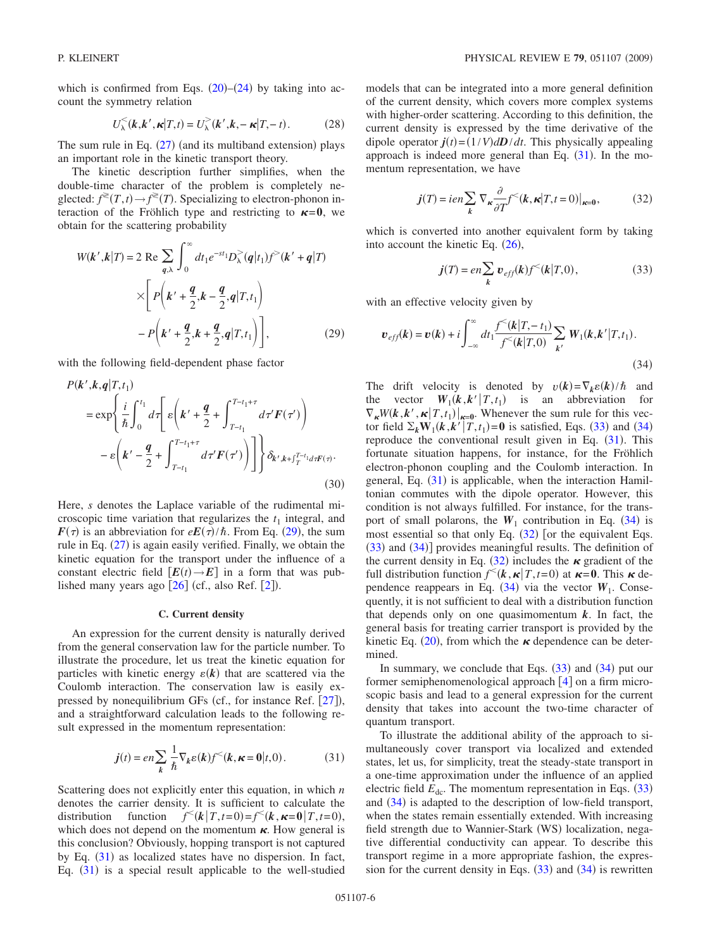which is confirmed from Eqs.  $(20)$  $(20)$  $(20)$ – $(24)$  $(24)$  $(24)$  by taking into account the symmetry relation

$$
U_{\lambda}^{<}(k, k', \kappa | T, t) = U_{\lambda}^{>}(k', k, - \kappa | T, - t).
$$
 (28)

The sum rule in Eq.  $(27)$  $(27)$  $(27)$  (and its multiband extension) plays an important role in the kinetic transport theory.

The kinetic description further simplifies, when the double-time character of the problem is completely neglected:  $f^*(T,t) \to f^*(T)$ . Specializing to electron-phonon interaction of the Fröhlich type and restricting to  $\kappa = 0$ , we obtain for the scattering probability

<span id="page-5-0"></span>
$$
W(k',k|T) = 2 \text{ Re } \sum_{q,\lambda} \int_0^{\infty} dt_1 e^{-st_1} D_{\lambda}^>(q|t_1) f^>(k'+q|T)
$$
  
 
$$
\times \left[ P\left(k' + \frac{q}{2}, k - \frac{q}{2}, q|T, t_1\right) - P\left(k' + \frac{q}{2}, k + \frac{q}{2}, q|T, t_1\right) \right],
$$
 (29)

with the following field-dependent phase factor

$$
P(k',k,q|T,t_1)
$$
  
\n
$$
= \exp\left\{\frac{i}{\hbar}\int_0^{t_1} d\tau \left[ \varepsilon \left(k' + \frac{q}{2} + \int_{T-t_1}^{T-t_1+\tau} d\tau' F(\tau') \right) - \varepsilon \left(k' - \frac{q}{2} + \int_{T-t_1}^{T-t_1+\tau} d\tau' F(\tau') \right) \right] \right\} \delta_{k',k+\int_T^{T-t_1} d\tau F(\tau)}.
$$
\n(30)

Here, *s* denotes the Laplace variable of the rudimental microscopic time variation that regularizes the  $t_1$  integral, and  $F(\tau)$  is an abbreviation for  $eE(\tau)/\hbar$ . From Eq. ([29](#page-5-0)), the sum rule in Eq.  $(27)$  $(27)$  $(27)$  is again easily verified. Finally, we obtain the kinetic equation for the transport under the influence of a constant electric field  $[E(t) \rightarrow E]$  in a form that was published many years ago  $[26]$  $[26]$  $[26]$  (cf., also Ref.  $[2]$  $[2]$  $[2]$ ).

### **C. Current density**

An expression for the current density is naturally derived from the general conservation law for the particle number. To illustrate the procedure, let us treat the kinetic equation for particles with kinetic energy  $\varepsilon(k)$  that are scattered via the Coulomb interaction. The conservation law is easily expressed by nonequilibrium GFs (cf., for instance Ref.  $[27]$  $[27]$  $[27]$ ), and a straightforward calculation leads to the following result expressed in the momentum representation:

$$
j(t) = en \sum_{k} \frac{1}{\hbar} \nabla_{k} \varepsilon(k) f^{<}(k, \kappa = 0 | t, 0).
$$
 (31)

<span id="page-5-1"></span>Scattering does not explicitly enter this equation, in which *n* denotes the carrier density. It is sufficient to calculate the distribution function  $f^{\leq}(k|T,t=0)=f^{\leq}(k, \kappa=0|T,t=0)$ , which does not depend on the momentum  $\kappa$ . How general is this conclusion? Obviously, hopping transport is not captured by Eq. ([31](#page-5-1)) as localized states have no dispersion. In fact, Eq. ([31](#page-5-1)) is a special result applicable to the well-studied

models that can be integrated into a more general definition of the current density, which covers more complex systems with higher-order scattering. According to this definition, the current density is expressed by the time derivative of the dipole operator  $\mathbf{j}(t) = (1/V) d\mathbf{D}/dt$ . This physically appealing approach is indeed more general than Eq.  $(31)$  $(31)$  $(31)$ . In the momentum representation, we have

$$
j(T) = i e n \sum_{k} \nabla_{\kappa} \frac{\partial}{\partial T} f^{<}(k, \kappa | T, t = 0)|_{\kappa = 0},
$$
 (32)

<span id="page-5-4"></span>which is converted into another equivalent form by taking into account the kinetic Eq.  $(26)$  $(26)$  $(26)$ ,

$$
j(T) = en \sum_{k} v_{eff}(k) f^{<}(k|T,0), \qquad (33)
$$

<span id="page-5-2"></span>with an effective velocity given by

<span id="page-5-3"></span>
$$
\boldsymbol{v}_{\text{eff}}(\boldsymbol{k}) = \boldsymbol{v}(\boldsymbol{k}) + i \int_{-\infty}^{\infty} dt_1 \frac{f^{\leq}(\boldsymbol{k}|T, -t_1)}{f^{\leq}(\boldsymbol{k}|T, 0)} \sum_{\boldsymbol{k}'} W_1(\boldsymbol{k}, \boldsymbol{k}'|T, t_1).
$$
\n(34)

The drift velocity is denoted by  $v(k) = \nabla_k \varepsilon(k)/\hbar$  and the vector  $W_1(k, k'|T, t_1)$  is an abbreviation for  $\nabla_{\kappa}W(\mathbf{k}, \mathbf{k}', \mathbf{k} | T, t_1)|_{\kappa=0}$ . Whenever the sum rule for this vector field  $\Sigma_k \mathbf{W}_1(\mathbf{k}, \mathbf{k}' | T, t_1) = \mathbf{0}$  is satisfied, Eqs. ([33](#page-5-2)) and ([34](#page-5-3)) reproduce the conventional result given in Eq.  $(31)$  $(31)$  $(31)$ . This fortunate situation happens, for instance, for the Fröhlich electron-phonon coupling and the Coulomb interaction. In general, Eq. ([31](#page-5-1)) is applicable, when the interaction Hamiltonian commutes with the dipole operator. However, this condition is not always fulfilled. For instance, for the transport of small polarons, the  $W_1$  contribution in Eq. ([34](#page-5-3)) is most essential so that only Eq.  $(32)$  $(32)$  $(32)$  [or the equivalent Eqs.  $(33)$  $(33)$  $(33)$  and  $(34)$  $(34)$  $(34)$ ] provides meaningful results. The definition of the current density in Eq. ([32](#page-5-4)) includes the  $\kappa$  gradient of the full distribution function  $f^{\leq}(k, \kappa | T, t=0)$  at  $\kappa = 0$ . This  $\kappa$  dependence reappears in Eq.  $(34)$  $(34)$  $(34)$  via the vector  $W_1$ . Consequently, it is not sufficient to deal with a distribution function that depends only on one quasimomentum  $k$ . In fact, the general basis for treating carrier transport is provided by the kinetic Eq. ([20](#page-3-4)), from which the  $\kappa$  dependence can be determined.

In summary, we conclude that Eqs.  $(33)$  $(33)$  $(33)$  and  $(34)$  $(34)$  $(34)$  put our former semiphenomenological approach  $[4]$  $[4]$  $[4]$  on a firm microscopic basis and lead to a general expression for the current density that takes into account the two-time character of quantum transport.

To illustrate the additional ability of the approach to simultaneously cover transport via localized and extended states, let us, for simplicity, treat the steady-state transport in a one-time approximation under the influence of an applied electric field  $E_{dc}$ . The momentum representation in Eqs.  $(33)$  $(33)$  $(33)$ and ([34](#page-5-3)) is adapted to the description of low-field transport, when the states remain essentially extended. With increasing field strength due to Wannier-Stark (WS) localization, negative differential conductivity can appear. To describe this transport regime in a more appropriate fashion, the expression for the current density in Eqs.  $(33)$  $(33)$  $(33)$  and  $(34)$  $(34)$  $(34)$  is rewritten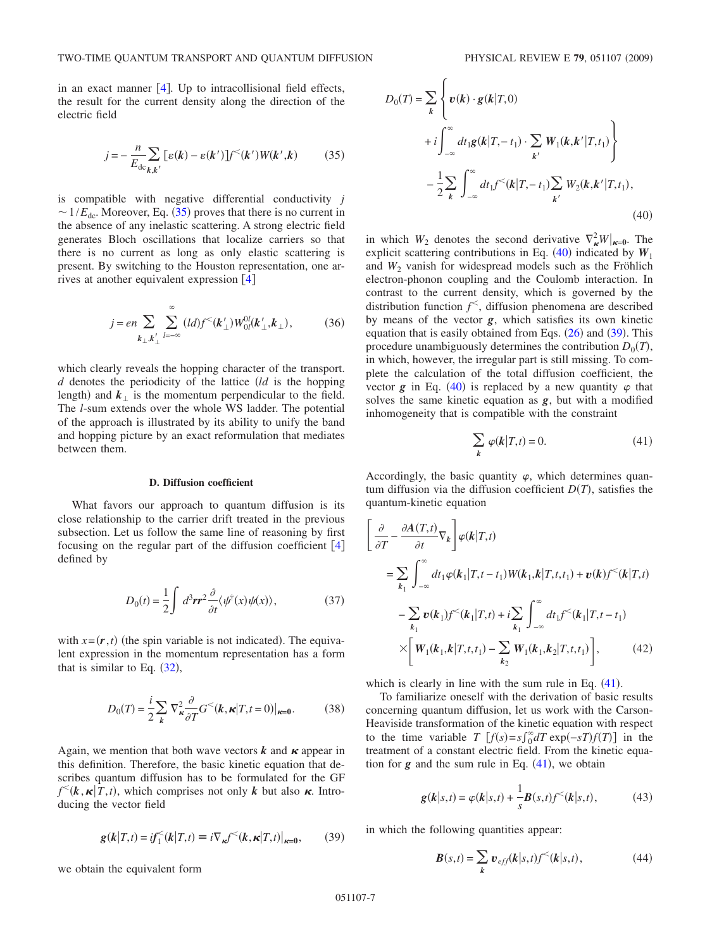in an exact manner  $[4]$  $[4]$  $[4]$ . Up to intracollisional field effects, the result for the current density along the direction of the electric field

$$
j = -\frac{n}{E_{\rm dc}} \sum_{k,k'} \left[ \varepsilon(k) - \varepsilon(k') \right] f^{\leq}(k') W(k',k) \tag{35}
$$

<span id="page-6-0"></span>is compatible with negative differential conductivity *j*  $\sim 1/E_{\text{dc}}$ . Moreover, Eq. ([35](#page-6-0)) proves that there is no current in the absence of any inelastic scattering. A strong electric field generates Bloch oscillations that localize carriers so that there is no current as long as only elastic scattering is present. By switching to the Houston representation, one arrives at another equivalent expression  $[4]$  $[4]$  $[4]$ 

$$
j = en \sum_{k_{\perp}, k'_{\perp}} \sum_{l=-\infty}^{\infty} (ld) f^{<}(k'_{\perp}) W_{0l}^{0l}(k'_{\perp}, k_{\perp}),
$$
 (36)

which clearly reveals the hopping character of the transport. *d* denotes the periodicity of the lattice *ld* is the hopping length) and  $k_{\perp}$  is the momentum perpendicular to the field. The *l*-sum extends over the whole WS ladder. The potential of the approach is illustrated by its ability to unify the band and hopping picture by an exact reformulation that mediates between them.

#### **D. Diffusion coefficient**

What favors our approach to quantum diffusion is its close relationship to the carrier drift treated in the previous subsection. Let us follow the same line of reasoning by first focusing on the regular part of the diffusion coefficient  $[4]$  $[4]$  $[4]$ defined by

$$
D_0(t) = \frac{1}{2} \int d^3 \mathbf{r} \mathbf{r}^2 \frac{\partial}{\partial t} \langle \psi^\dagger(x) \psi(x) \rangle, \tag{37}
$$

with  $x = (r, t)$  (the spin variable is not indicated). The equivalent expression in the momentum representation has a form that is similar to Eq.  $(32)$  $(32)$  $(32)$ ,

$$
D_0(T) = \frac{i}{2} \sum_{k} \nabla_{\kappa}^2 \frac{\partial}{\partial T} G^<(\mathbf{k}, \kappa | T, t = 0)|_{\kappa = 0}.
$$
 (38)

Again, we mention that both wave vectors  $k$  and  $\kappa$  appear in this definition. Therefore, the basic kinetic equation that describes quantum diffusion has to be formulated for the GF  $f^{\lt}(k, \kappa | T, t)$ , which comprises not only *k* but also  $\kappa$ . Introducing the vector field

$$
\mathbf{g}(\mathbf{k}|T,t) = i\mathbf{f}_1^{\leq}(\mathbf{k}|T,t) \equiv i\nabla_{\mathbf{k}}\mathbf{f}^{\leq}(\mathbf{k}, \mathbf{k}|T,t)|_{\mathbf{k}=\mathbf{0}},\qquad(39)
$$

<span id="page-6-2"></span>we obtain the equivalent form

<span id="page-6-1"></span>
$$
D_0(T) = \sum_{k} \left\{ \boldsymbol{v}(k) \cdot \boldsymbol{g}(k|T,0) \right\}+ i \int_{-\infty}^{\infty} dt_1 \boldsymbol{g}(k|T,-t_1) \cdot \sum_{k'} W_1(k,k'|T,t_1) \right\}- \frac{1}{2} \sum_{k} \int_{-\infty}^{\infty} dt_1 f^{<}(k|T,-t_1) \sum_{k'} W_2(k,k'|T,t_1), \tag{40}
$$

in which  $W_2$  denotes the second derivative  $\nabla^2_{\kappa} W|_{\kappa=0}$ . The explicit scattering contributions in Eq.  $(40)$  $(40)$  $(40)$  indicated by  $W_1$ and  $W_2$  vanish for widespread models such as the Fröhlich electron-phonon coupling and the Coulomb interaction. In contrast to the current density, which is governed by the distribution function *f* , diffusion phenomena are described by means of the vector *g*, which satisfies its own kinetic equation that is easily obtained from Eqs.  $(26)$  $(26)$  $(26)$  and  $(39)$  $(39)$  $(39)$ . This procedure unambiguously determines the contribution  $D_0(T)$ , in which, however, the irregular part is still missing. To complete the calculation of the total diffusion coefficient, the vector  $g$  in Eq. ([40](#page-6-1)) is replaced by a new quantity  $\varphi$  that solves the same kinetic equation as *g*, but with a modified inhomogeneity that is compatible with the constraint

$$
\sum_{k} \varphi(k|T,t) = 0.
$$
\n(41)

<span id="page-6-3"></span>Accordingly, the basic quantity  $\varphi$ , which determines quantum diffusion via the diffusion coefficient  $D(T)$ , satisfies the quantum-kinetic equation

$$
\begin{aligned}\n&\left[\frac{\partial}{\partial T} - \frac{\partial A(T,t)}{\partial t} \nabla_k \right] \varphi(k|T,t) \\
&= \sum_{k_1} \int_{-\infty}^{\infty} dt_1 \varphi(k_1|T,t-t_1) W(k_1,k|T,t,t_1) + v(k) f^{\leq}(k|T,t) \\
&- \sum_{k_1} v(k_1) f^{\leq}(k_1|T,t) + i \sum_{k_1} \int_{-\infty}^{\infty} dt_1 f^{\leq}(k_1|T,t-t_1) \\
&\times \left[W_1(k_1,k|T,t,t_1) - \sum_{k_2} W_1(k_1,k_2|T,t,t_1)\right],\n\end{aligned} \tag{42}
$$

which is clearly in line with the sum rule in Eq.  $(41)$  $(41)$  $(41)$ .

To familiarize oneself with the derivation of basic results concerning quantum diffusion, let us work with the Carson-Heaviside transformation of the kinetic equation with respect to the time variable *T*  $[f(s) = s \int_0^\infty dT \exp(-sT) f(T)]$  in the treatment of a constant electric field. From the kinetic equation for  $g$  and the sum rule in Eq.  $(41)$  $(41)$  $(41)$ , we obtain

$$
g(k|s,t) = \varphi(k|s,t) + \frac{1}{s}B(s,t)f^{(k|s,t)},
$$
(43)

<span id="page-6-4"></span>in which the following quantities appear:

$$
\boldsymbol{B}(s,t) = \sum_{k} \boldsymbol{v}_{eff}(k|s,t) f^{\leq}(k|s,t), \qquad (44)
$$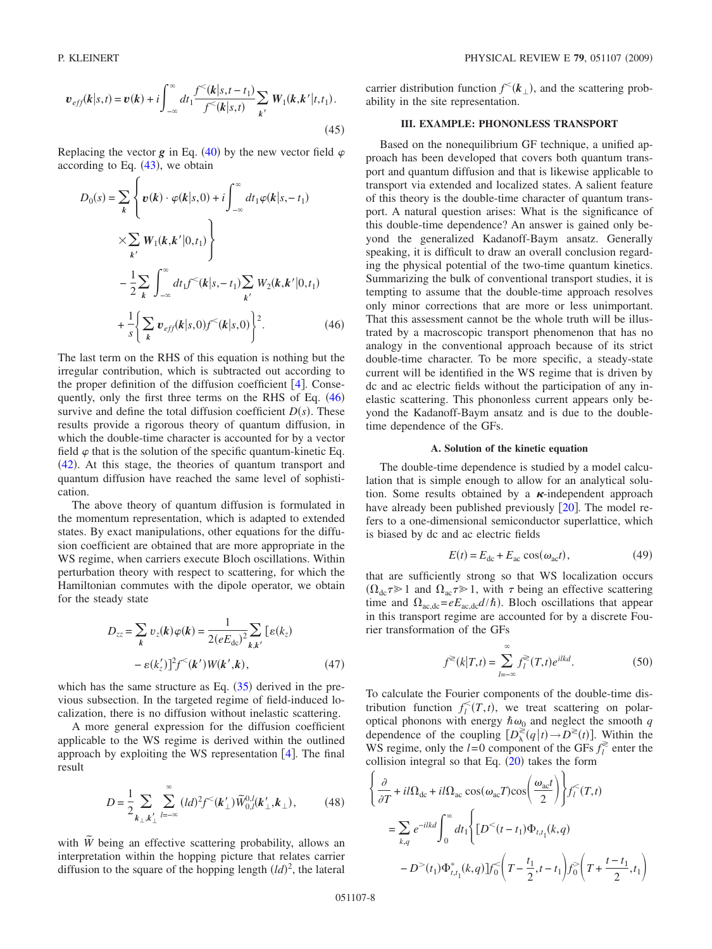$$
\boldsymbol{v}_{eff}(\boldsymbol{k}|s,t) = \boldsymbol{v}(\boldsymbol{k}) + i \int_{-\infty}^{\infty} dt_1 \frac{f^{<}(\boldsymbol{k}|s,t-t_1)}{f^{<}(\boldsymbol{k}|s,t)} \sum_{\boldsymbol{k'}} W_1(\boldsymbol{k},\boldsymbol{k'}|t,t_1).
$$
\n(45)

Replacing the vector  $g$  in Eq. ([40](#page-6-1)) by the new vector field  $\varphi$ according to Eq.  $(43)$  $(43)$  $(43)$ , we obtain

<span id="page-7-0"></span>
$$
D_0(s) = \sum_{k} \left\{ \boldsymbol{v}(k) \cdot \varphi(k|s,0) + i \int_{-\infty}^{\infty} dt_1 \varphi(k|s,-t_1) \times \sum_{k'} W_1(k,k'|0,t_1) \right\}
$$
  

$$
- \frac{1}{2} \sum_{k} \int_{-\infty}^{\infty} dt_1 f^{<}(k|s,-t_1) \sum_{k'} W_2(k,k'|0,t_1)
$$
  

$$
+ \frac{1}{s} \left\{ \sum_{k} \boldsymbol{v}_{eff}(k|s,0) f^{<}(k|s,0) \right\}^2.
$$
 (46)

The last term on the RHS of this equation is nothing but the irregular contribution, which is subtracted out according to the proper definition of the diffusion coefficient  $[4]$  $[4]$  $[4]$ . Consequently, only the first three terms on the RHS of Eq.  $(46)$  $(46)$  $(46)$ survive and define the total diffusion coefficient  $D(s)$ . These results provide a rigorous theory of quantum diffusion, in which the double-time character is accounted for by a vector field  $\varphi$  that is the solution of the specific quantum-kinetic Eq.  $(42)$  $(42)$  $(42)$ . At this stage, the theories of quantum transport and quantum diffusion have reached the same level of sophistication.

The above theory of quantum diffusion is formulated in the momentum representation, which is adapted to extended states. By exact manipulations, other equations for the diffusion coefficient are obtained that are more appropriate in the WS regime, when carriers execute Bloch oscillations. Within perturbation theory with respect to scattering, for which the Hamiltonian commutes with the dipole operator, we obtain for the steady state

$$
D_{zz} = \sum_{k} v_z(k)\varphi(k) = \frac{1}{2(eE_{dc})^2} \sum_{k,k'} [ \varepsilon(k_z) - \varepsilon(k_z')]^2 f^{\leq}(k') W(k',k), \qquad (47)
$$

which has the same structure as Eq.  $(35)$  $(35)$  $(35)$  derived in the previous subsection. In the targeted regime of field-induced localization, there is no diffusion without inelastic scattering.

A more general expression for the diffusion coefficient applicable to the WS regime is derived within the outlined approach by exploiting the WS representation  $[4]$  $[4]$  $[4]$ . The final result

$$
D = \frac{1}{2} \sum_{k_{\perp}, k'_{\perp}} \sum_{l=-\infty}^{\infty} (ld)^2 f^{\leq}(k'_{\perp}) \widetilde{W}_{0,l}^{0,l}(k'_{\perp}, k_{\perp}), \tag{48}
$$

with  $\tilde{W}$  being an effective scattering probability, allows an interpretation within the hopping picture that relates carrier diffusion to the square of the hopping length  $(ld)^2$ , the lateral

carrier distribution function  $f^{\leq}(k_{\perp})$ , and the scattering probability in the site representation.

### **III. EXAMPLE: PHONONLESS TRANSPORT**

Based on the nonequilibrium GF technique, a unified approach has been developed that covers both quantum transport and quantum diffusion and that is likewise applicable to transport via extended and localized states. A salient feature of this theory is the double-time character of quantum transport. A natural question arises: What is the significance of this double-time dependence? An answer is gained only beyond the generalized Kadanoff-Baym ansatz. Generally speaking, it is difficult to draw an overall conclusion regarding the physical potential of the two-time quantum kinetics. Summarizing the bulk of conventional transport studies, it is tempting to assume that the double-time approach resolves only minor corrections that are more or less unimportant. That this assessment cannot be the whole truth will be illustrated by a macroscopic transport phenomenon that has no analogy in the conventional approach because of its strict double-time character. To be more specific, a steady-state current will be identified in the WS regime that is driven by dc and ac electric fields without the participation of any inelastic scattering. This phononless current appears only beyond the Kadanoff-Baym ansatz and is due to the doubletime dependence of the GFs.

#### **A. Solution of the kinetic equation**

The double-time dependence is studied by a model calculation that is simple enough to allow for an analytical solution. Some results obtained by a  $\kappa$ -independent approach have already been published previously  $\lceil 20 \rceil$  $\lceil 20 \rceil$  $\lceil 20 \rceil$ . The model refers to a one-dimensional semiconductor superlattice, which is biased by dc and ac electric fields

$$
E(t) = Edc + Eac cos(\omegaact),
$$
 (49)

that are sufficiently strong so that WS localization occurs  $(\Omega_{dc} \tau \ge 1$  and  $\Omega_{ac} \tau \ge 1$ , with  $\tau$  being an effective scattering time and  $\Omega_{\text{ac,dc}} = eE_{\text{ac,dc}}d/\hbar$ ). Bloch oscillations that appear in this transport regime are accounted for by a discrete Fourier transformation of the GFs

$$
f^{\geqslant}(k|T,t) = \sum_{l=-\infty}^{\infty} f_l^{\geqslant}(T,t)e^{ilkd}.
$$
 (50)

To calculate the Fourier components of the double-time distribution function  $f_l^<(T,t)$ , we treat scattering on polaroptical phonons with energy  $\hbar \omega_0$  and neglect the smooth *q* dependence of the coupling  $[D_\lambda^{\gtrless}(q|t) \to D^\gtrless(t)]$ . Within the WS regime, only the  $l=0$  component of the GFs  $f_l^{\gtrless}$  enter the collision integral so that Eq.  $(20)$  $(20)$  $(20)$  takes the form

<span id="page-7-1"></span>
$$
\begin{aligned}\n&\left\{\frac{\partial}{\partial T} + il\Omega_{\text{dc}} + il\Omega_{\text{ac}}\cos(\omega_{\text{ac}}T)\cos\left(\frac{\omega_{\text{ac}}t}{2}\right)\right\} f_{l}^{<}(T,t) \\
&= \sum_{k,q} e^{-ilkd} \int_{0}^{\infty} dt_{1} \Biggl\{ \left[D^{<}(t-t_{1})\Phi_{t,t_{1}}(k,q) - D^{>}(t_{1})\Phi_{t,t_{1}}^{*}(k,q)\right] f_{0}^{<}\left(T - \frac{t_{1}}{2}, t - t_{1}\right) f_{0}^{>}\left(T + \frac{t-t_{1}}{2}, t_{1}\right)\end{aligned}
$$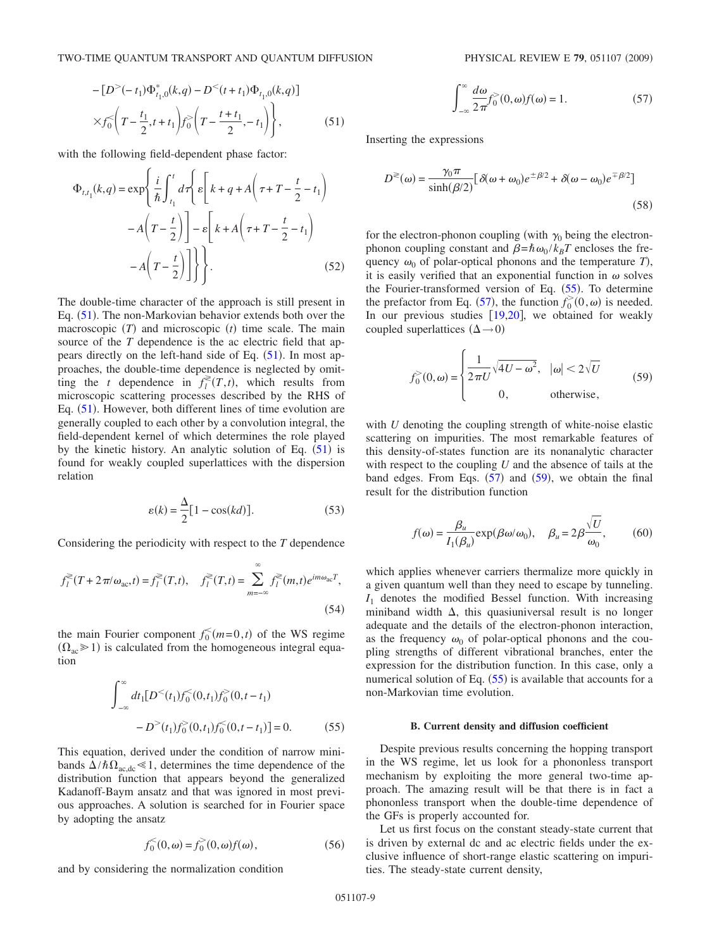$$
-[D^{>}(-t_1)\Phi_{t_1,0}^*(k,q)-D^{<}(t+t_1)\Phi_{t_1,0}(k,q)]
$$
  
 
$$
\times f_0^{\leq}\left(T-\frac{t_1}{2},t+t_1\right)f_0^{\geq}\left(T-\frac{t+t_1}{2},-t_1\right)\bigg\},
$$
 (51)

with the following field-dependent phase factor:

$$
\Phi_{t,t_1}(k,q) = \exp\left\{\frac{i}{\hbar} \int_{t_1}^t d\tau \left\{ \varepsilon \left[ k+q+A\left(\tau+T-\frac{t}{2}-t_1\right) -A\left(T-\frac{t}{2}\right) \right] - \varepsilon \left[ k+A\left(\tau+T-\frac{t}{2}-t_1\right) -A\left(T-\frac{t}{2}\right) \right] \right\} \right\}.
$$
\n(52)

The double-time character of the approach is still present in Eq. ([51](#page-7-1)). The non-Markovian behavior extends both over the macroscopic  $(T)$  and microscopic  $(t)$  time scale. The main source of the *T* dependence is the ac electric field that appears directly on the left-hand side of Eq.  $(51)$  $(51)$  $(51)$ . In most approaches, the double-time dependence is neglected by omitting the *t* dependence in  $f_l^*(T,t)$ , which results from microscopic scattering processes described by the RHS of Eq.  $(51)$  $(51)$  $(51)$ . However, both different lines of time evolution are generally coupled to each other by a convolution integral, the field-dependent kernel of which determines the role played by the kinetic history. An analytic solution of Eq.  $(51)$  $(51)$  $(51)$  is found for weakly coupled superlattices with the dispersion relation

$$
\varepsilon(k) = \frac{\Delta}{2} [1 - \cos(kd)].
$$
 (53)

Considering the periodicity with respect to the *T* dependence

$$
f_l^{\geq}(T+2\pi/\omega_{ac},t) = f_l^{\geq}(T,t), \quad f_l^{\geq}(T,t) = \sum_{m=-\infty}^{\infty} f_l^{\geq}(m,t)e^{im\omega_{ac}T},
$$
\n(54)

the main Fourier component  $f_0^{\leq}(m=0,t)$  of the WS regime  $(\Omega_{ac} \ge 1)$  is calculated from the homogeneous integral equation

$$
\int_{-\infty}^{\infty} dt_1 [D^<(t_1) f_0^<(0, t_1) f_0^>(0, t - t_1)
$$
  
-
$$
D^>(t_1) f_0^>(0, t_1) f_0^<(0, t - t_1) = 0.
$$
 (55)

<span id="page-8-0"></span>This equation, derived under the condition of narrow minibands  $\Delta/\hbar\Omega_{\text{ac,dc}} \ll 1$ , determines the time dependence of the distribution function that appears beyond the generalized Kadanoff-Baym ansatz and that was ignored in most previous approaches. A solution is searched for in Fourier space by adopting the ansatz

$$
f_0^{\leq}(0,\omega) = f_0^{\geq}(0,\omega)f(\omega),
$$
 (56)

and by considering the normalization condition

$$
\int_{-\infty}^{\infty} \frac{d\omega}{2\pi} f_0^>(0, \omega) f(\omega) = 1.
$$
 (57)

<span id="page-8-1"></span>Inserting the expressions

$$
D^{\geq}(\omega) = \frac{\gamma_0 \pi}{\sinh(\beta/2)} \left[ \delta(\omega + \omega_0) e^{\pm \beta/2} + \delta(\omega - \omega_0) e^{\mp \beta/2} \right]
$$
\n(58)

for the electron-phonon coupling (with  $\gamma_0$  being the electronphonon coupling constant and  $\beta = \hbar \omega_0 / k_B T$  encloses the frequency  $\omega_0$  of polar-optical phonons and the temperature *T*), it is easily verified that an exponential function in  $\omega$  solves the Fourier-transformed version of Eq. ([55](#page-8-0)). To determine the prefactor from Eq. ([57](#page-8-1)), the function  $f_0^>(0, \omega)$  is needed. In our previous studies  $[19,20]$  $[19,20]$  $[19,20]$  $[19,20]$ , we obtained for weakly coupled superlattices  $(\Delta \rightarrow 0)$ 

<span id="page-8-2"></span>
$$
f_0^>(0, \omega) = \begin{cases} \frac{1}{2\pi U} \sqrt{4U - \omega^2}, & |\omega| < 2\sqrt{U} \\ 0, & \text{otherwise,} \end{cases}
$$
(59)

with *U* denoting the coupling strength of white-noise elastic scattering on impurities. The most remarkable features of this density-of-states function are its nonanalytic character with respect to the coupling *U* and the absence of tails at the band edges. From Eqs.  $(57)$  $(57)$  $(57)$  and  $(59)$  $(59)$  $(59)$ , we obtain the final result for the distribution function

$$
f(\omega) = \frac{\beta_u}{I_1(\beta_u)} \exp(\beta \omega/\omega_0), \quad \beta_u = 2\beta \frac{\sqrt{U}}{\omega_0},
$$
 (60)

which applies whenever carriers thermalize more quickly in a given quantum well than they need to escape by tunneling. *I*<sup>1</sup> denotes the modified Bessel function. With increasing miniband width  $\Delta$ , this quasiuniversal result is no longer adequate and the details of the electron-phonon interaction, as the frequency  $\omega_0$  of polar-optical phonons and the coupling strengths of different vibrational branches, enter the expression for the distribution function. In this case, only a numerical solution of Eq.  $(55)$  $(55)$  $(55)$  is available that accounts for a non-Markovian time evolution.

### **B. Current density and diffusion coefficient**

Despite previous results concerning the hopping transport in the WS regime, let us look for a phononless transport mechanism by exploiting the more general two-time approach. The amazing result will be that there is in fact a phononless transport when the double-time dependence of the GFs is properly accounted for.

Let us first focus on the constant steady-state current that is driven by external dc and ac electric fields under the exclusive influence of short-range elastic scattering on impurities. The steady-state current density,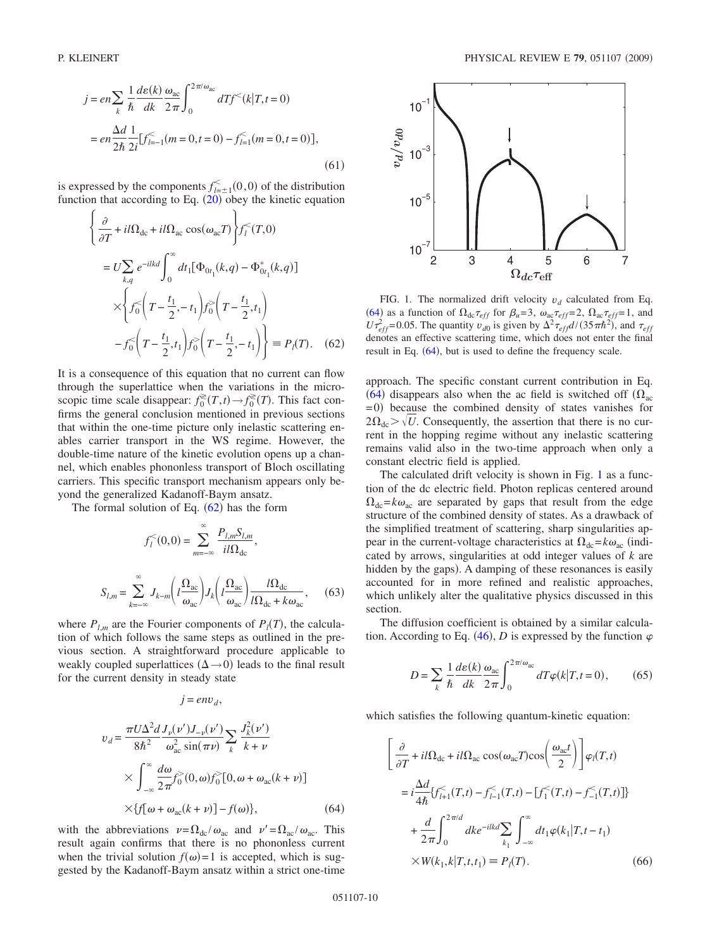$$
j = en \sum_{k} \frac{1}{\hbar} \frac{d\varepsilon(k)}{dk} \frac{\omega_{ac}}{2\pi} \int_{0}^{2\pi/\omega_{ac}} dT f^{<}(k|T, t=0)
$$
  
=  $en \frac{\Delta d}{2\hbar} \frac{1}{2i} [f_{l=-1}^{<}(m=0, t=0) - f_{l=1}^{<}(m=0, t=0)],$  (61)

is expressed by the components  $f_{l=\pm 1}^{\lt} (0,0)$  of the distribution function that according to Eq.  $(20)$  $(20)$  $(20)$  obey the kinetic equation

<span id="page-9-0"></span>
$$
\begin{aligned}\n&\left\{\frac{\partial}{\partial T} + il\Omega_{\text{dc}} + il\Omega_{\text{ac}}\cos(\omega_{\text{ac}}T)\right\} f_{l}^{<}(T,0) \\
&= U \sum_{k,q} e^{-ilkd} \int_{0}^{\infty} dt_{1} [\Phi_{0t_{1}}(k,q) - \Phi_{0t_{1}}^{*}(k,q)] \\
&\times \left\{ f_{0}^{<}\left(T - \frac{t_{1}}{2}, -t_{1}\right) f_{0}^{>}\left(T - \frac{t_{1}}{2}, t_{1}\right) \\
&\quad - f_{0}^{<}\left(T - \frac{t_{1}}{2}, t_{1}\right) f_{0}^{>}\left(T - \frac{t_{1}}{2}, -t_{1}\right) \right\} \equiv P_{l}(T). \quad (62)\n\end{aligned}
$$

It is a consequence of this equation that no current can flow through the superlattice when the variations in the microscopic time scale disappear:  $f_0^{\geq}(T,t) \to f_0^{\geq}(T)$ . This fact confirms the general conclusion mentioned in previous sections that within the one-time picture only inelastic scattering enables carrier transport in the WS regime. However, the double-time nature of the kinetic evolution opens up a channel, which enables phononless transport of Bloch oscillating carriers. This specific transport mechanism appears only beyond the generalized Kadanoff-Baym ansatz.

The formal solution of Eq.  $(62)$  $(62)$  $(62)$  has the form

$$
f_l^<(0,0) = \sum_{m=-\infty}^{\infty} \frac{P_{l,m} S_{l,m}}{i l \Omega_{\rm dc}},
$$

$$
S_{l,m} = \sum_{k=-\infty}^{\infty} J_{k-m} \left( l \frac{\Omega_{\rm ac}}{\omega_{\rm ac}} \right) J_k \left( l \frac{\Omega_{\rm ac}}{\omega_{\rm ac}} \right) \frac{l \Omega_{\rm dc}}{l \Omega_{\rm dc} + k \omega_{\rm ac}},\quad (63)
$$

<span id="page-9-3"></span>where  $P_{l,m}$  are the Fourier components of  $P_l(T)$ , the calculation of which follows the same steps as outlined in the previous section. A straightforward procedure applicable to weakly coupled superlattices  $(\Delta \rightarrow 0)$  leads to the final result for the current density in steady state

 $j = env_d$ ,

<span id="page-9-1"></span>
$$
v_d = \frac{\pi U \Delta^2 d}{8\hbar^2} \frac{J_{\nu}(\nu') J_{-\nu}(\nu')}{\omega_{ac}^2 \sin(\pi \nu)} \sum_k \frac{J_k^2(\nu')}{k + \nu}
$$
  
 
$$
\times \int_{-\infty}^{\infty} \frac{d\omega}{2\pi} f_0^>(0, \omega) f_0^>(0, \omega + \omega_{ac}(k + \nu))
$$
  
 
$$
\times \{f[\omega + \omega_{ac}(k + \nu)] - f(\omega)\}, \tag{64}
$$

with the abbreviations  $v = \Omega_{dc} / \omega_{ac}$  and  $v' = \Omega_{ac} / \omega_{ac}$ . This result again confirms that there is no phononless current when the trivial solution  $f(\omega) = 1$  is accepted, which is suggested by the Kadanoff-Baym ansatz within a strict one-time

<span id="page-9-2"></span>

FIG. 1. The normalized drift velocity  $v_d$  calculated from Eq. ([64](#page-9-1)) as a function of  $\Omega_{dc}\tau_{eff}$  for  $\beta_u=3$ ,  $\omega_{ac}\tau_{eff}=2$ ,  $\Omega_{ac}\tau_{eff}=1$ , and  $U\tau_{eff}^2$ =0.05. The quantity  $v_{d0}$  is given by  $\Delta^2 \tau_{eff} d/(35\pi\hbar^2)$ , and  $\tau_{eff}$ denotes an effective scattering time, which does not enter the final result in Eq.  $(64)$  $(64)$  $(64)$ , but is used to define the frequency scale.

approach. The specific constant current contribution in Eq. ([64](#page-9-1)) disappears also when the ac field is switched off  $(\Omega_{ac})$ =0) because the combined density of states vanishes for  $2\Omega_{\text{dc}}$   $>$   $\sqrt{U}$ . Consequently, the assertion that there is no current in the hopping regime without any inelastic scattering remains valid also in the two-time approach when only a constant electric field is applied.

The calculated drift velocity is shown in Fig. [1](#page-9-2) as a function of the dc electric field. Photon replicas centered around  $\Omega_{dc} = k\omega_{ac}$  are separated by gaps that result from the edge structure of the combined density of states. As a drawback of the simplified treatment of scattering, sharp singularities appear in the current-voltage characteristics at  $\Omega_{dc} = k\omega_{ac}$  (indicated by arrows, singularities at odd integer values of *k* are hidden by the gaps). A damping of these resonances is easily accounted for in more refined and realistic approaches, which unlikely alter the qualitative physics discussed in this section.

The diffusion coefficient is obtained by a similar calculation. According to Eq.  $(46)$  $(46)$  $(46)$ , *D* is expressed by the function  $\varphi$ 

$$
D = \sum_{k} \frac{1}{\hbar} \frac{d\varepsilon(k)}{dk} \frac{\omega_{\rm ac}}{2\pi} \int_0^{2\pi/\omega_{\rm ac}} dT \varphi(k|T, t=0), \qquad (65)
$$

which satisfies the following quantum-kinetic equation:

$$
\left[\frac{\partial}{\partial T} + il\Omega_{\text{dc}} + il\Omega_{\text{ac}}\cos(\omega_{\text{ac}}T)\cos\left(\frac{\omega_{\text{ac}}t}{2}\right)\right]\varphi_{l}(T,t)
$$
\n
$$
= i\frac{\Delta d}{4\hbar}\{f_{l+1}^{<}(T,t) - f_{l-1}^{<}(T,t) - [f_{1}^{<}(T,t) - f_{-1}^{<}(T,t)]\}
$$
\n
$$
+ \frac{d}{2\pi}\int_{0}^{2\pi/d} dk e^{-ilkd} \sum_{k_{1}} \int_{-\infty}^{\infty} dt_{1}\varphi(k_{1}|T,t-t_{1})
$$
\n
$$
\times W(k_{1},k|T,t,t_{1}) \equiv P_{l}(T). \tag{66}
$$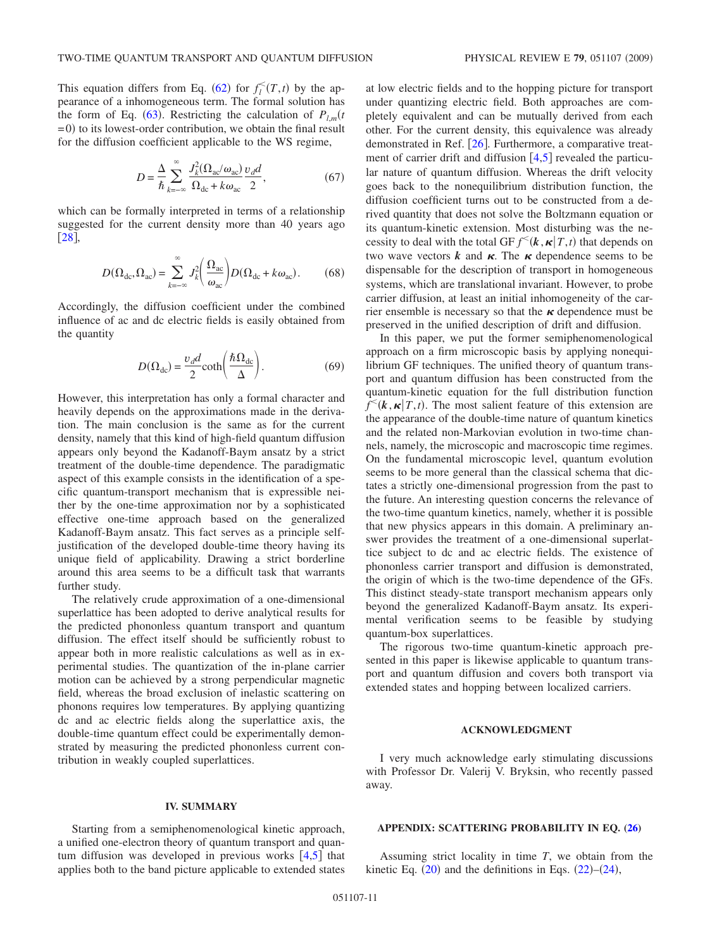This equation differs from Eq. ([62](#page-9-0)) for  $f_l^<(T,t)$  by the appearance of a inhomogeneous term. The formal solution has the form of Eq. ([63](#page-9-3)). Restricting the calculation of  $P_{l,m}$ <sup>t</sup>  $(0, 0)$  to its lowest-order contribution, we obtain the final result for the diffusion coefficient applicable to the WS regime,

$$
D = \frac{\Delta}{\hbar} \sum_{k=-\infty}^{\infty} \frac{J_k^2 (\Omega_{\text{ac}}/\omega_{\text{ac}})}{\Omega_{\text{dc}} + k \omega_{\text{ac}}} \frac{v_d d}{2},\tag{67}
$$

which can be formally interpreted in terms of a relationship suggested for the current density more than 40 years ago [[28](#page-11-23)].

$$
D(\Omega_{\rm dc}, \Omega_{\rm ac}) = \sum_{k=-\infty}^{\infty} J_k^2 \left( \frac{\Omega_{\rm ac}}{\omega_{\rm ac}} \right) D(\Omega_{\rm dc} + k\omega_{\rm ac}).\tag{68}
$$

Accordingly, the diffusion coefficient under the combined influence of ac and dc electric fields is easily obtained from the quantity

$$
D(\Omega_{\rm dc}) = \frac{v_{d}d}{2} \coth\left(\frac{\hbar\Omega_{\rm dc}}{\Delta}\right). \tag{69}
$$

However, this interpretation has only a formal character and heavily depends on the approximations made in the derivation. The main conclusion is the same as for the current density, namely that this kind of high-field quantum diffusion appears only beyond the Kadanoff-Baym ansatz by a strict treatment of the double-time dependence. The paradigmatic aspect of this example consists in the identification of a specific quantum-transport mechanism that is expressible neither by the one-time approximation nor by a sophisticated effective one-time approach based on the generalized Kadanoff-Baym ansatz. This fact serves as a principle selfjustification of the developed double-time theory having its unique field of applicability. Drawing a strict borderline around this area seems to be a difficult task that warrants further study.

The relatively crude approximation of a one-dimensional superlattice has been adopted to derive analytical results for the predicted phononless quantum transport and quantum diffusion. The effect itself should be sufficiently robust to appear both in more realistic calculations as well as in experimental studies. The quantization of the in-plane carrier motion can be achieved by a strong perpendicular magnetic field, whereas the broad exclusion of inelastic scattering on phonons requires low temperatures. By applying quantizing dc and ac electric fields along the superlattice axis, the double-time quantum effect could be experimentally demonstrated by measuring the predicted phononless current contribution in weakly coupled superlattices.

### **IV. SUMMARY**

Starting from a semiphenomenological kinetic approach, a unified one-electron theory of quantum transport and quantum diffusion was developed in previous works  $[4,5]$  $[4,5]$  $[4,5]$  $[4,5]$  that applies both to the band picture applicable to extended states at low electric fields and to the hopping picture for transport under quantizing electric field. Both approaches are completely equivalent and can be mutually derived from each other. For the current density, this equivalence was already demonstrated in Ref. [[26](#page-11-20)]. Furthermore, a comparative treatment of carrier drift and diffusion  $[4,5]$  $[4,5]$  $[4,5]$  $[4,5]$  revealed the particular nature of quantum diffusion. Whereas the drift velocity goes back to the nonequilibrium distribution function, the diffusion coefficient turns out to be constructed from a derived quantity that does not solve the Boltzmann equation or its quantum-kinetic extension. Most disturbing was the necessity to deal with the total GF  $f^{\lt}(k, \kappa | T, t)$  that depends on two wave vectors  $k$  and  $\kappa$ . The  $\kappa$  dependence seems to be dispensable for the description of transport in homogeneous systems, which are translational invariant. However, to probe carrier diffusion, at least an initial inhomogeneity of the carrier ensemble is necessary so that the  $\kappa$  dependence must be preserved in the unified description of drift and diffusion.

In this paper, we put the former semiphenomenological approach on a firm microscopic basis by applying nonequilibrium GF techniques. The unified theory of quantum transport and quantum diffusion has been constructed from the quantum-kinetic equation for the full distribution function  $f^{\leq}(k, \kappa | T, t)$ . The most salient feature of this extension are the appearance of the double-time nature of quantum kinetics and the related non-Markovian evolution in two-time channels, namely, the microscopic and macroscopic time regimes. On the fundamental microscopic level, quantum evolution seems to be more general than the classical schema that dictates a strictly one-dimensional progression from the past to the future. An interesting question concerns the relevance of the two-time quantum kinetics, namely, whether it is possible that new physics appears in this domain. A preliminary answer provides the treatment of a one-dimensional superlattice subject to dc and ac electric fields. The existence of phononless carrier transport and diffusion is demonstrated, the origin of which is the two-time dependence of the GFs. This distinct steady-state transport mechanism appears only beyond the generalized Kadanoff-Baym ansatz. Its experimental verification seems to be feasible by studying quantum-box superlattices.

The rigorous two-time quantum-kinetic approach presented in this paper is likewise applicable to quantum transport and quantum diffusion and covers both transport via extended states and hopping between localized carriers.

#### **ACKNOWLEDGMENT**

I very much acknowledge early stimulating discussions with Professor Dr. Valerij V. Bryksin, who recently passed away.

## **APPENDIX: SCATTERING PROBABILITY IN EQ. [\(26\)](#page-4-2)**

Assuming strict locality in time *T*, we obtain from the kinetic Eq.  $(20)$  $(20)$  $(20)$  and the definitions in Eqs.  $(22)$  $(22)$  $(22)$ – $(24)$  $(24)$  $(24)$ ,